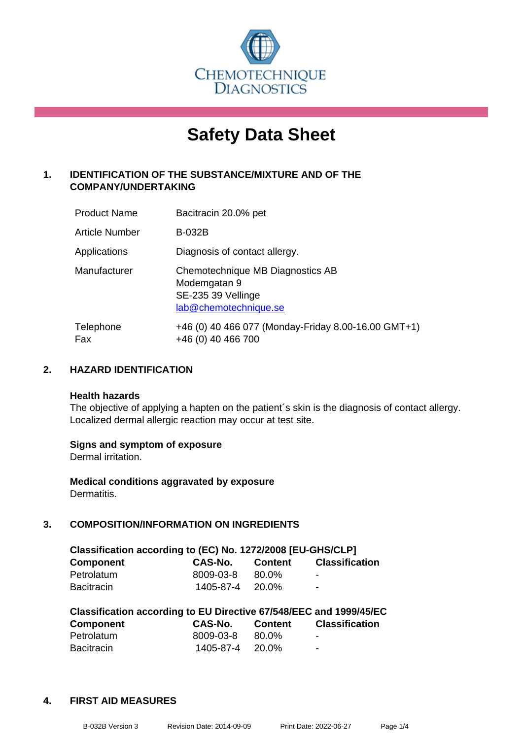

# **Safety Data Sheet**

# **1. IDENTIFICATION OF THE SUBSTANCE/MIXTURE AND OF THE COMPANY/UNDERTAKING**

| <b>Product Name</b>   | Bacitracin 20.0% pet                                                                            |
|-----------------------|-------------------------------------------------------------------------------------------------|
| <b>Article Number</b> | <b>B-032B</b>                                                                                   |
| Applications          | Diagnosis of contact allergy.                                                                   |
| Manufacturer          | Chemotechnique MB Diagnostics AB<br>Modemgatan 9<br>SE-235 39 Vellinge<br>lab@chemotechnique.se |
| Telephone<br>Fax      | +46 (0) 40 466 077 (Monday-Friday 8.00-16.00 GMT+1)<br>+46 (0) 40 466 700                       |

## **2. HAZARD IDENTIFICATION**

#### **Health hazards**

The objective of applying a hapten on the patient's skin is the diagnosis of contact allergy. Localized dermal allergic reaction may occur at test site.

#### **Signs and symptom of exposure**

Dermal irritation.

**Medical conditions aggravated by exposure** Dermatitis.

# **3. COMPOSITION/INFORMATION ON INGREDIENTS**

| Classification according to (EC) No. 1272/2008 [EU-GHS/CLP] |                       |         |                          |  |  |
|-------------------------------------------------------------|-----------------------|---------|--------------------------|--|--|
| <b>Component</b>                                            | CAS-No.               | Content | <b>Classification</b>    |  |  |
| Petrolatum                                                  | 8009-03-8             | 80.0%   | $\blacksquare$           |  |  |
| <b>Bacitracin</b>                                           | $1405 - 87 - 4$ 20.0% |         | $\overline{\phantom{0}}$ |  |  |

| Classification according to EU Directive 67/548/EEC and 1999/45/EC |           |                |                       |  |  |
|--------------------------------------------------------------------|-----------|----------------|-----------------------|--|--|
| <b>Component</b>                                                   | CAS-No.   | <b>Content</b> | <b>Classification</b> |  |  |
| Petrolatum                                                         | 8009-03-8 | 80.0%          | -                     |  |  |
| <b>Bacitracin</b>                                                  | 1405-87-4 | 20.0%          | -                     |  |  |

#### **4. FIRST AID MEASURES**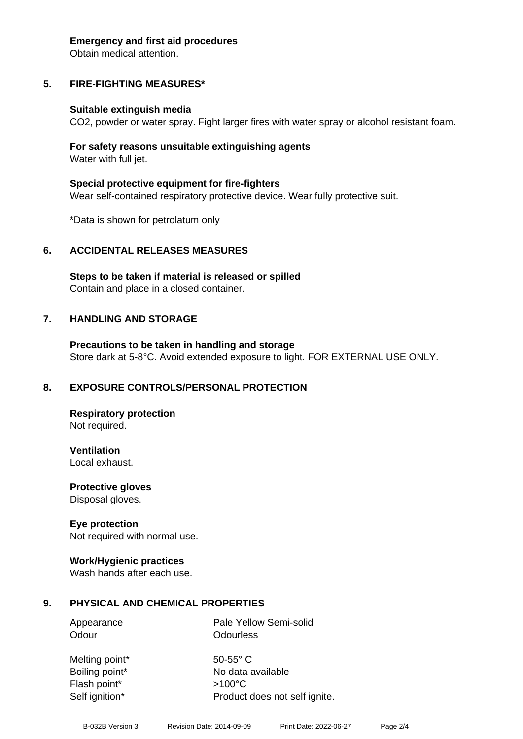#### **Emergency and first aid procedures**

Obtain medical attention.

# **5. FIRE-FIGHTING MEASURES\***

#### **Suitable extinguish media**

CO2, powder or water spray. Fight larger fires with water spray or alcohol resistant foam.

#### **For safety reasons unsuitable extinguishing agents** Water with full jet.

**Special protective equipment for fire-fighters** Wear self-contained respiratory protective device. Wear fully protective suit.

\*Data is shown for petrolatum only

#### **6. ACCIDENTAL RELEASES MEASURES**

**Steps to be taken if material is released or spilled** Contain and place in a closed container.

#### **7. HANDLING AND STORAGE**

**Precautions to be taken in handling and storage** Store dark at 5-8°C. Avoid extended exposure to light. FOR EXTERNAL USE ONLY.

#### **8. EXPOSURE CONTROLS/PERSONAL PROTECTION**

**Respiratory protection** Not required.

**Ventilation** Local exhaust.

**Protective gloves** Disposal gloves.

#### **Eye protection**

Not required with normal use.

#### **Work/Hygienic practices**

Wash hands after each use.

#### **9. PHYSICAL AND CHEMICAL PROPERTIES**

Odour **Odourless** 

Appearance Pale Yellow Semi-solid

Melting point\* 50-55° C Flash point\* >100°C

Boiling point\* No data available Self ignition\* Product does not self ignite.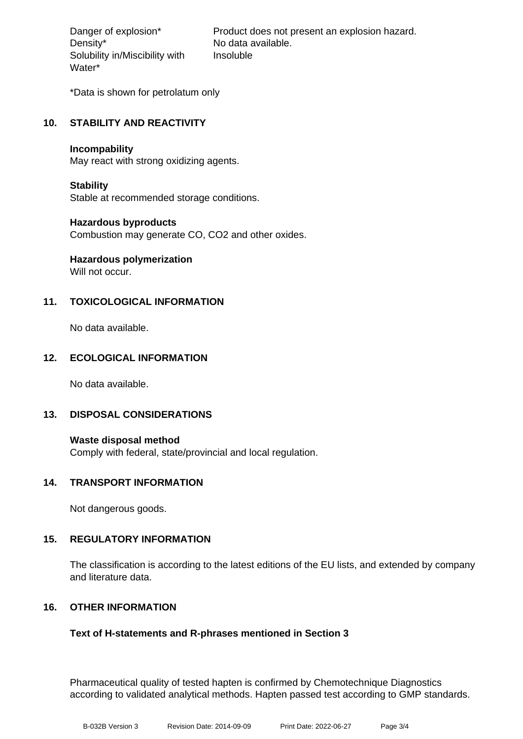Density\* No data available. Solubility in/Miscibility with Water\*

Danger of explosion\* Product does not present an explosion hazard. Insoluble

\*Data is shown for petrolatum only

# **10. STABILITY AND REACTIVITY**

#### **Incompability**

May react with strong oxidizing agents.

#### **Stability**

Stable at recommended storage conditions.

#### **Hazardous byproducts**

Combustion may generate CO, CO2 and other oxides.

# **Hazardous polymerization**

Will not occur.

# **11. TOXICOLOGICAL INFORMATION**

No data available.

# **12. ECOLOGICAL INFORMATION**

No data available.

#### **13. DISPOSAL CONSIDERATIONS**

**Waste disposal method** Comply with federal, state/provincial and local regulation.

#### **14. TRANSPORT INFORMATION**

Not dangerous goods.

#### **15. REGULATORY INFORMATION**

The classification is according to the latest editions of the EU lists, and extended by company and literature data.

#### **16. OTHER INFORMATION**

#### **Text of H-statements and R-phrases mentioned in Section 3**

Pharmaceutical quality of tested hapten is confirmed by Chemotechnique Diagnostics according to validated analytical methods. Hapten passed test according to GMP standards.